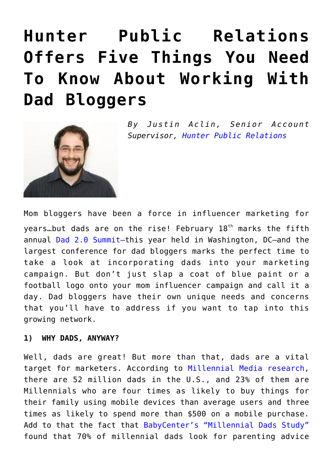# **[Hunter Public Relations](https://www.commpro.biz/hunter-public-relations-offers-five-things-you-need-to-know-about-working-with-dad-bloggers/) [Offers Five Things You Need](https://www.commpro.biz/hunter-public-relations-offers-five-things-you-need-to-know-about-working-with-dad-bloggers/) [To Know About Working With](https://www.commpro.biz/hunter-public-relations-offers-five-things-you-need-to-know-about-working-with-dad-bloggers/) [Dad Bloggers](https://www.commpro.biz/hunter-public-relations-offers-five-things-you-need-to-know-about-working-with-dad-bloggers/)**



*B y Justin Aclin, Senior Account Supervisor, [Hunter Public Relations](https://www.hunterpr.com/)*

Mom bloggers have been a force in influencer marketing for years...but dads are on the rise! February  $18<sup>th</sup>$  marks the fifth annual [Dad 2.0 Summit](https://www.dad2summit.com/)—this year held in Washington, DC—and the largest conference for dad bloggers marks the perfect time to take a look at incorporating dads into your marketing campaign. But don't just slap a coat of blue paint or a football logo onto your mom influencer campaign and call it a day. Dad bloggers have their own unique needs and concerns that you'll have to address if you want to tap into this growing network.

#### **1) WHY DADS, ANYWAY?**

Well, dads are great! But more than that, dads are a vital target for marketers. According to [Millennial Media research,](https://www.millennialmedia.com/mobile-insights/industry-research/mobile-dads-why-marketers-should-target-them) there are 52 million dads in the U.S., and 23% of them are Millennials who are four times as likely to buy things for their family using mobile devices than average users and three times as likely to spend more than \$500 on a mobile purchase. Add to that the fact that [BabyCenter's "Millennial Dads Study"](https://www.google.com/url?sa=t&rct=j&q=&esrc=s&source=web&cd=1&cad=rja&uact=8&ved=0ahUKEwi9q6CfotnKAhUIbj4KHcaQAMQQFggcMAA&url=http%3A%2F%2Fstorage.googleapis.com%2Fthink%2Fdocs%2Fbabycenter-millennial-dads-study.pdf&usg=AFQjCNHOXnDKPP--tE_isTM7dHj_Jg3-yg&sig2=SMezeCDzGGryQrw4onwYog) found that 70% of millennial dads look for parenting advice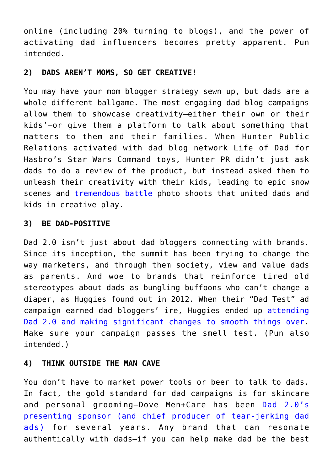online (including 20% turning to blogs), and the power of activating dad influencers becomes pretty apparent. Pun intended.

## **2) DADS AREN'T MOMS, SO GET CREATIVE!**

You may have your mom blogger strategy sewn up, but dads are a whole different ballgame. The most engaging dad blog campaigns allow them to showcase creativity—either their own or their kids'—or give them a platform to talk about something that matters to them and their families. When Hunter Public Relations activated with dad blog network [Life of Dad](https://www.lifeofdad.com/blog_post.php?pid=19335) for Hasbro's Star Wars Command toys, Hunter PR didn't just ask dads to do a review of the product, but instead asked them to unleash their creativity with their kids, leading to [epic](https://www.therockfather.com/news-and-reviews/toy-and-games/item/3045-commandtheforce-with-imagination-and-star-wars-command) [snow](https://www.ageekdaddy.com/2014/11/star-wars-command-battle-of-hoth.html) scenes and [tremendous battle](https://www.lunchboxdad.com/2014/12/star-wars-command-toys-brings-kids-and.html) photo shoots that united dads and kids in creative play.

#### **3) BE DAD-POSITIVE**

Dad 2.0 isn't just about dad bloggers connecting with brands. Since its inception, the summit has been trying to change the way marketers, and through them society, view and value dads as parents. And woe to brands that reinforce tired old stereotypes about dads as bungling buffoons who can't change a diaper, as Huggies found out in 2012. When their "Dad Test" ad campaign earned dad bloggers' ire, Huggies ended up [attending](https://www.adweek.com/news/advertising-branding/demise-doofus-dad-ads-141018) [Dad 2.0 and making significant changes to smooth things over.](https://www.adweek.com/news/advertising-branding/demise-doofus-dad-ads-141018) Make sure your campaign passes the smell test. (Pun also intended.)

#### **4) THINK OUTSIDE THE MAN CAVE**

You don't have to market power tools or beer to talk to dads. In fact, the gold standard for dad campaigns is for skincare and personal grooming—Dove Men+Care has been [Dad 2.0's](https://www.dad2summit.com/2016-sponsors/) [presenting sponsor](https://www.dad2summit.com/2016-sponsors/) [\(and chief producer of tear-jerking dad](https://digiday.com/brands/dove-dad-fathers-day/) [ads\)](https://digiday.com/brands/dove-dad-fathers-day/) for several years. Any brand that can resonate authentically with dads—if you can help make dad be the best